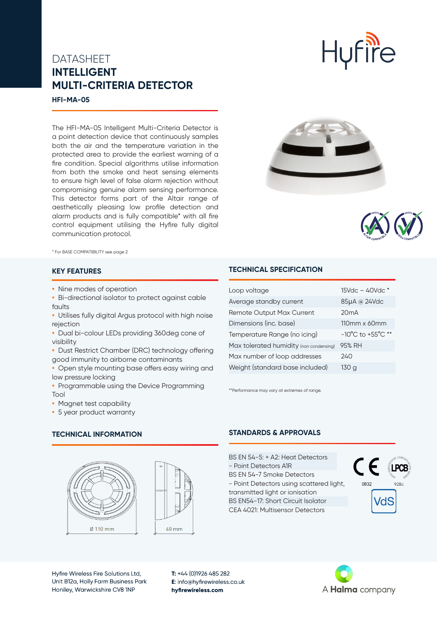# DATASHEET **INTELLIGENT MULTI-CRITERIA DETECTOR**

**HFI-MA-05**

The HFI-MA-05 Intelligent Multi-Criteria Detector is a point detection device that continuously samples both the air and the temperature variation in the protected area to provide the earliest warning of a fire condition. Special algorithms utilise information from both the smoke and heat sensing elements to ensure high level of false alarm rejection without compromising genuine alarm sensing performance. This detector forms part of the Altair range of aesthetically pleasing low profile detection and alarm products and is fully compatible\* with all fire control equipment utilising the Hyfire fully digital communication protocol.



**Hufire** 



\* For BASE COMPATIBILITY see page 2

### **KEY FEATURES**

- **•** Nine modes of operation
- **•** Bi-directional isolator to protect against cable faults
- **•** Utilises fully digital Argus protocol with high noise rejection
- **•** Dual bi-colour LEDs providing 360deg cone of visibility
- **•** Dust Restrict Chamber (DRC) technology offering good immunity to airborne contaminants
- **•** Open style mounting base offers easy wiring and low pressure locking
- **•** Programmable using the Device Programming Tool
- **•** Magnet test capability
- **•** 5 year product warranty

#### **TECHNICAL INFORMATION**





Hyfire Wireless Fire Solutions Ltd, Unit B12a, Holly Farm Business Park Honiley, Warwickshire CV8 1NP

**T:** +44 (0)1926 485 282 **E**: info@hyfirewireless.co.uk **hyfirewireless.com**

# **TECHNICAL SPECIFICATION**

| Loop voltage                            | $15Vdc - 40Vdc *$                     |
|-----------------------------------------|---------------------------------------|
| Average standby current                 | 85µA @ 24Vdc                          |
| <b>Remote Output Max Current</b>        | 20mA                                  |
| Dimensions (inc. base)                  | 110mm x 60mm                          |
| Temperature Range (no icing)            | $-10^{\circ}$ C to $+55^{\circ}$ C ** |
| Max tolerated humidity (non condensing) | 95% RH                                |
| Max number of loop addresses            | 240                                   |
| Weight (standard base included)         | 130 a                                 |

\*\*Performance may vary at extremes of range.

### **STANDARDS & APPROVALS**

BS EN 54-5: + A2: Heat Detectors - Point Detectors A1R BS EN 54-7 Smoke Detectors - Point Detectors using scattered light, 0832 transmitted light or ionisation BS EN54-17: Short Circuit Isolator CEA 4021: Multisensor Detectors